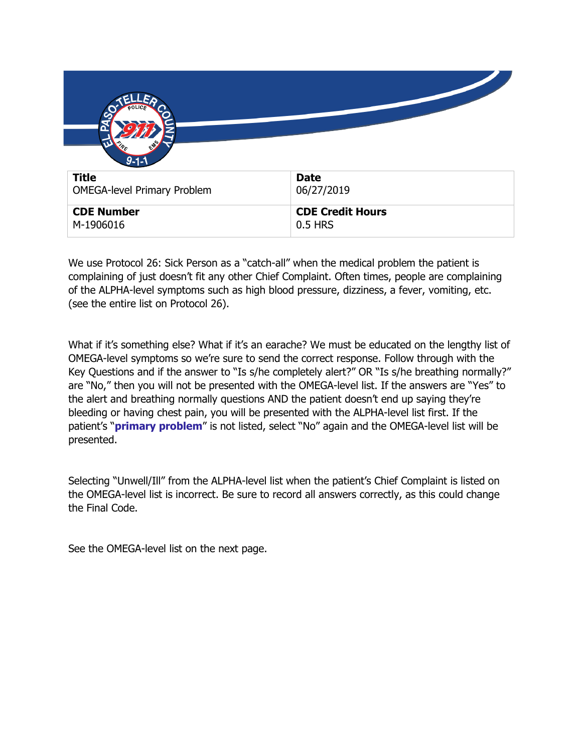| $9 - 1 - 1$                        |                         |
|------------------------------------|-------------------------|
| <b>Title</b>                       | <b>Date</b>             |
| <b>OMEGA-level Primary Problem</b> | 06/27/2019              |
| <b>CDE Number</b>                  | <b>CDE Credit Hours</b> |
| M-1906016                          | 0.5 HRS                 |

We use Protocol 26: Sick Person as a "catch-all" when the medical problem the patient is complaining of just doesn't fit any other Chief Complaint. Often times, people are complaining of the ALPHA-level symptoms such as high blood pressure, dizziness, a fever, vomiting, etc. (see the entire list on Protocol 26).

What if it's something else? What if it's an earache? We must be educated on the lengthy list of OMEGA-level symptoms so we're sure to send the correct response. Follow through with the Key Questions and if the answer to "Is s/he completely alert?" OR "Is s/he breathing normally?" are "No," then you will not be presented with the OMEGA-level list. If the answers are "Yes" to the alert and breathing normally questions AND the patient doesn't end up saying they're bleeding or having chest pain, you will be presented with the ALPHA-level list first. If the patient's "**primary problem**" is not listed, select "No" again and the OMEGA-level list will be presented.

Selecting "Unwell/Ill" from the ALPHA-level list when the patient's Chief Complaint is listed on the OMEGA-level list is incorrect. Be sure to record all answers correctly, as this could change the Final Code.

See the OMEGA-level list on the next page.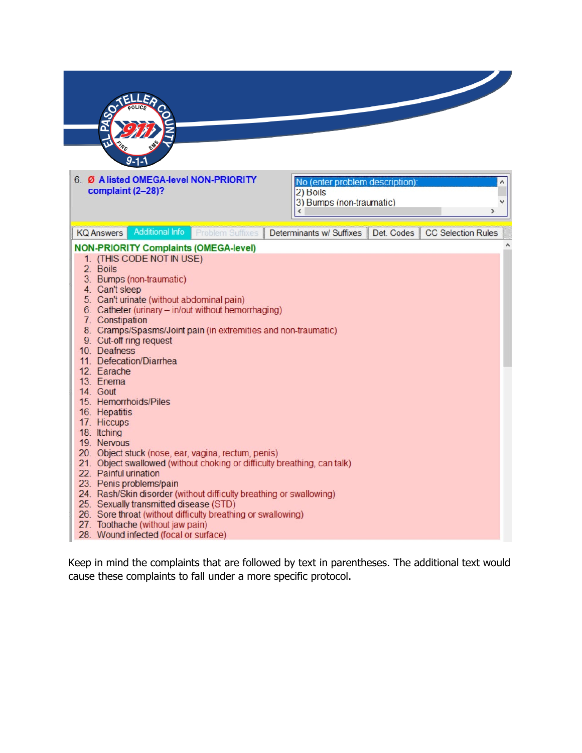

| 6. Ø A listed OMEGA-level NON-PRIORITY<br>complaint (2-28)?                                                                                                                                                                                                                                                                                                                                                                                                                                                                                                                                                                                                                                                                                                                                                                                                                                                                                                                           | No (enter problem description):<br>2) Boils<br>3) Bumps (non-traumatic)<br>€ |            | ۸<br>$\rightarrow$        |
|---------------------------------------------------------------------------------------------------------------------------------------------------------------------------------------------------------------------------------------------------------------------------------------------------------------------------------------------------------------------------------------------------------------------------------------------------------------------------------------------------------------------------------------------------------------------------------------------------------------------------------------------------------------------------------------------------------------------------------------------------------------------------------------------------------------------------------------------------------------------------------------------------------------------------------------------------------------------------------------|------------------------------------------------------------------------------|------------|---------------------------|
| <b>Additional Info</b><br><b>Problem Suffixes</b><br><b>KQ Answers</b>                                                                                                                                                                                                                                                                                                                                                                                                                                                                                                                                                                                                                                                                                                                                                                                                                                                                                                                | Determinants w/ Suffixes                                                     | Det. Codes | <b>CC Selection Rules</b> |
| <b>NON-PRIORITY Complaints (OMEGA-level)</b><br>1. (THIS CODE NOT IN USE)<br>2. Boils<br>3. Bumps (non-traumatic)<br>4. Can't sleep<br>5. Can't urinate (without abdominal pain)<br>6. Catheter (urinary - in/out without hemorrhaging)<br>7. Constipation<br>8. Cramps/Spasms/Joint pain (in extremities and non-traumatic)<br>9. Cut-off ring request<br>10. Deafness<br>11. Defecation/Diarrhea<br>12. Earache<br>13. Enema<br>14. Gout<br>15. Hemorrhoids/Piles<br>16. Hepatitis<br>17. Hiccups<br>18. Itching<br>19. Nervous<br>20. Object stuck (nose, ear, vagina, rectum, penis)<br>21. Object swallowed (without choking or difficulty breathing, can talk)<br>22 Painful urination<br>23. Penis problems/pain<br>24. Rash/Skin disorder (without difficulty breathing or swallowing)<br>25. Sexually transmitted disease (STD)<br>26. Sore throat (without difficulty breathing or swallowing)<br>27. Toothache (without jaw pain)<br>28. Wound infected (focal or surface) |                                                                              |            |                           |

Keep in mind the complaints that are followed by text in parentheses. The additional text would cause these complaints to fall under a more specific protocol.